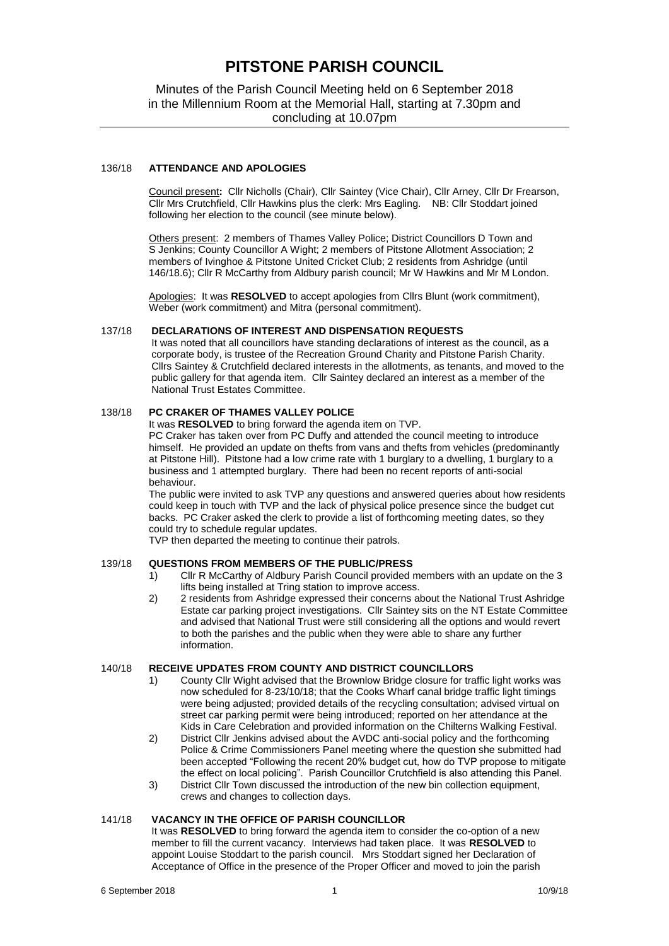## **PITSTONE PARISH COUNCIL**

## Minutes of the Parish Council Meeting held on 6 September 2018 in the Millennium Room at the Memorial Hall, starting at 7.30pm and concluding at 10.07pm

## 136/18 **ATTENDANCE AND APOLOGIES**

Council present**:** Cllr Nicholls (Chair), Cllr Saintey (Vice Chair), Cllr Arney, Cllr Dr Frearson, Cllr Mrs Crutchfield, Cllr Hawkins plus the clerk: Mrs Eagling. NB: Cllr Stoddart joined following her election to the council (see minute below).

Others present: 2 members of Thames Valley Police; District Councillors D Town and S Jenkins; County Councillor A Wight; 2 members of Pitstone Allotment Association; 2 members of Ivinghoe & Pitstone United Cricket Club; 2 residents from Ashridge (until 146/18.6); Cllr R McCarthy from Aldbury parish council; Mr W Hawkins and Mr M London.

Apologies: It was **RESOLVED** to accept apologies from Cllrs Blunt (work commitment), Weber (work commitment) and Mitra (personal commitment).

#### 137/18 **DECLARATIONS OF INTEREST AND DISPENSATION REQUESTS**

It was noted that all councillors have standing declarations of interest as the council, as a corporate body, is trustee of the Recreation Ground Charity and Pitstone Parish Charity. Cllrs Saintey & Crutchfield declared interests in the allotments, as tenants, and moved to the public gallery for that agenda item. Cllr Saintey declared an interest as a member of the National Trust Estates Committee.

## 138/18 **PC CRAKER OF THAMES VALLEY POLICE**

It was **RESOLVED** to bring forward the agenda item on TVP.

PC Craker has taken over from PC Duffy and attended the council meeting to introduce himself. He provided an update on thefts from vans and thefts from vehicles (predominantly at Pitstone Hill). Pitstone had a low crime rate with 1 burglary to a dwelling, 1 burglary to a business and 1 attempted burglary. There had been no recent reports of anti-social behaviour.

The public were invited to ask TVP any questions and answered queries about how residents could keep in touch with TVP and the lack of physical police presence since the budget cut backs. PC Craker asked the clerk to provide a list of forthcoming meeting dates, so they could try to schedule regular updates.

TVP then departed the meeting to continue their patrols.

#### 139/18 **QUESTIONS FROM MEMBERS OF THE PUBLIC/PRESS**

- 1) Cllr R McCarthy of Aldbury Parish Council provided members with an update on the 3 lifts being installed at Tring station to improve access.
- 2) 2 residents from Ashridge expressed their concerns about the National Trust Ashridge Estate car parking project investigations. Cllr Saintey sits on the NT Estate Committee and advised that National Trust were still considering all the options and would revert to both the parishes and the public when they were able to share any further information.

#### 140/18 **RECEIVE UPDATES FROM COUNTY AND DISTRICT COUNCILLORS**

- 1) County Cllr Wight advised that the Brownlow Bridge closure for traffic light works was now scheduled for 8-23/10/18; that the Cooks Wharf canal bridge traffic light timings were being adjusted; provided details of the recycling consultation; advised virtual on street car parking permit were being introduced; reported on her attendance at the Kids in Care Celebration and provided information on the Chilterns Walking Festival.
- 2) District Cllr Jenkins advised about the AVDC anti-social policy and the forthcoming Police & Crime Commissioners Panel meeting where the question she submitted had been accepted "Following the recent 20% budget cut, how do TVP propose to mitigate the effect on local policing". Parish Councillor Crutchfield is also attending this Panel.
- 3) District Cllr Town discussed the introduction of the new bin collection equipment, crews and changes to collection days.

#### 141/18 **VACANCY IN THE OFFICE OF PARISH COUNCILLOR**

It was **RESOLVED** to bring forward the agenda item to consider the co-option of a new member to fill the current vacancy. Interviews had taken place. It was **RESOLVED** to appoint Louise Stoddart to the parish council. Mrs Stoddart signed her Declaration of Acceptance of Office in the presence of the Proper Officer and moved to join the parish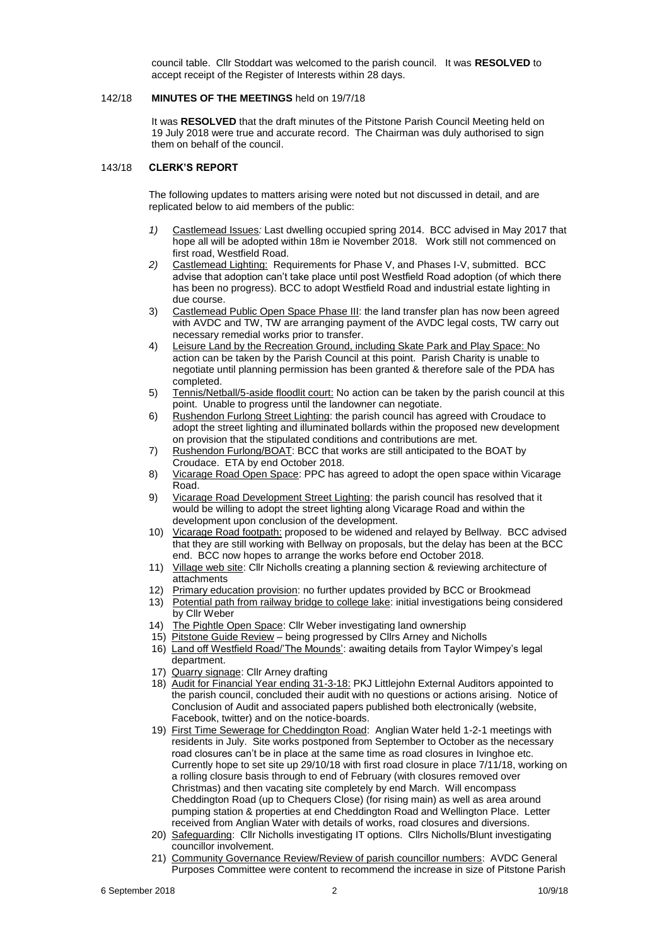council table. Cllr Stoddart was welcomed to the parish council. It was **RESOLVED** to accept receipt of the Register of Interests within 28 days.

#### 142/18 **MINUTES OF THE MEETINGS** held on 19/7/18

It was **RESOLVED** that the draft minutes of the Pitstone Parish Council Meeting held on 19 July 2018 were true and accurate record. The Chairman was duly authorised to sign them on behalf of the council.

#### 143/18 **CLERK'S REPORT**

The following updates to matters arising were noted but not discussed in detail, and are replicated below to aid members of the public:

- *1)* Castlemead Issues*:* Last dwelling occupied spring 2014. BCC advised in May 2017 that hope all will be adopted within 18m ie November 2018. Work still not commenced on first road, Westfield Road.
- *2)* Castlemead Lighting: Requirements for Phase V, and Phases I-V, submitted. BCC advise that adoption can't take place until post Westfield Road adoption (of which there has been no progress). BCC to adopt Westfield Road and industrial estate lighting in due course.
- 3) Castlemead Public Open Space Phase III: the land transfer plan has now been agreed with AVDC and TW, TW are arranging payment of the AVDC legal costs, TW carry out necessary remedial works prior to transfer.
- 4) Leisure Land by the Recreation Ground, including Skate Park and Play Space: No action can be taken by the Parish Council at this point. Parish Charity is unable to negotiate until planning permission has been granted & therefore sale of the PDA has completed.
- 5) Tennis/Netball/5-aside floodlit court: No action can be taken by the parish council at this point. Unable to progress until the landowner can negotiate.
- 6) Rushendon Furlong Street Lighting: the parish council has agreed with Croudace to adopt the street lighting and illuminated bollards within the proposed new development on provision that the stipulated conditions and contributions are met.
- 7) Rushendon Furlong/BOAT: BCC that works are still anticipated to the BOAT by Croudace. ETA by end October 2018.
- 8) Vicarage Road Open Space: PPC has agreed to adopt the open space within Vicarage Road.
- 9) Vicarage Road Development Street Lighting: the parish council has resolved that it would be willing to adopt the street lighting along Vicarage Road and within the development upon conclusion of the development.
- 10) Vicarage Road footpath: proposed to be widened and relayed by Bellway. BCC advised that they are still working with Bellway on proposals, but the delay has been at the BCC end. BCC now hopes to arrange the works before end October 2018.
- 11) Village web site: Cllr Nicholls creating a planning section & reviewing architecture of attachments
- 12) Primary education provision: no further updates provided by BCC or Brookmead
- 13) Potential path from railway bridge to college lake: initial investigations being considered by Cllr Weber
- 14) The Pightle Open Space: Cllr Weber investigating land ownership
- 15) Pitstone Guide Review being progressed by Cllrs Arney and Nicholls
- 16) Land off Westfield Road/'The Mounds': awaiting details from Taylor Wimpey's legal department.
- 17) Quarry signage: Cllr Arney drafting
- 18) Audit for Financial Year ending 31-3-18: PKJ Littlejohn External Auditors appointed to the parish council, concluded their audit with no questions or actions arising. Notice of Conclusion of Audit and associated papers published both electronically (website, Facebook, twitter) and on the notice-boards.
- 19) First Time Sewerage for Cheddington Road: Anglian Water held 1-2-1 meetings with residents in July. Site works postponed from September to October as the necessary road closures can't be in place at the same time as road closures in Ivinghoe etc. Currently hope to set site up 29/10/18 with first road closure in place 7/11/18, working on a rolling closure basis through to end of February (with closures removed over Christmas) and then vacating site completely by end March. Will encompass Cheddington Road (up to Chequers Close) (for rising main) as well as area around pumping station & properties at end Cheddington Road and Wellington Place. Letter received from Anglian Water with details of works, road closures and diversions.
- 20) Safeguarding: Cllr Nicholls investigating IT options. Cllrs Nicholls/Blunt investigating councillor involvement.
- 21) Community Governance Review/Review of parish councillor numbers: AVDC General Purposes Committee were content to recommend the increase in size of Pitstone Parish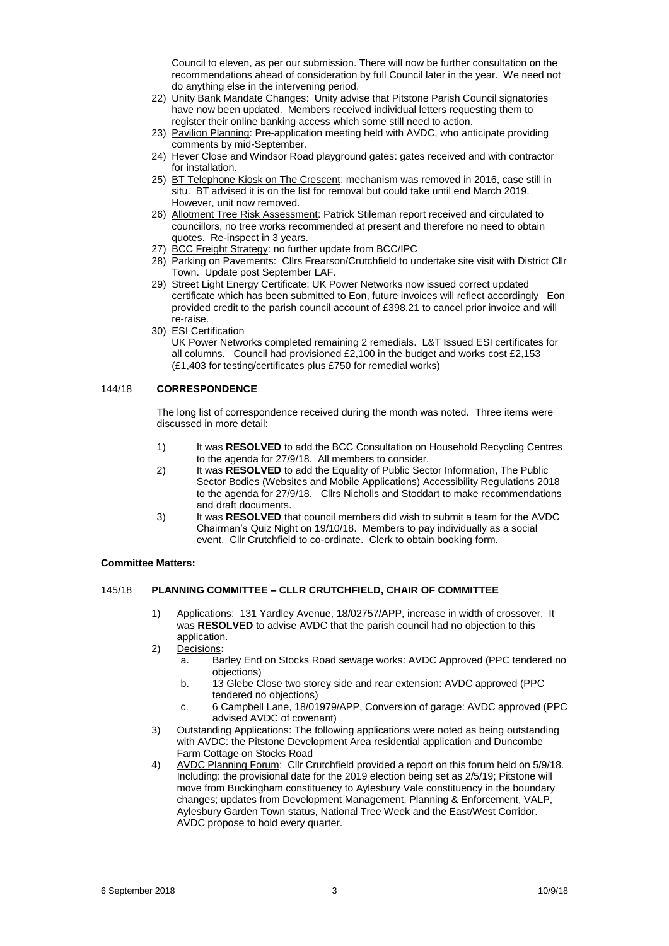Council to eleven, as per our submission. There will now be further consultation on the recommendations ahead of consideration by full Council later in the year. We need not do anything else in the intervening period.

- 22) Unity Bank Mandate Changes: Unity advise that Pitstone Parish Council signatories have now been updated. Members received individual letters requesting them to register their online banking access which some still need to action.
- 23) Pavilion Planning: Pre-application meeting held with AVDC, who anticipate providing comments by mid-September.
- 24) Hever Close and Windsor Road playground gates: gates received and with contractor for installation.
- 25) BT Telephone Kiosk on The Crescent: mechanism was removed in 2016, case still in situ. BT advised it is on the list for removal but could take until end March 2019. However, unit now removed.
- 26) Allotment Tree Risk Assessment: Patrick Stileman report received and circulated to councillors, no tree works recommended at present and therefore no need to obtain quotes. Re-inspect in 3 years.
- 27) BCC Freight Strategy: no further update from BCC/IPC
- 28) Parking on Pavements: Cllrs Frearson/Crutchfield to undertake site visit with District Cllr Town. Update post September LAF.
- 29) Street Light Energy Certificate: UK Power Networks now issued correct updated certificate which has been submitted to Eon, future invoices will reflect accordingly Eon provided credit to the parish council account of £398.21 to cancel prior invoice and will re-raise.
- 30) ESI Certification

UK Power Networks completed remaining 2 remedials. L&T Issued ESI certificates for all columns. Council had provisioned £2,100 in the budget and works cost £2,153 (£1,403 for testing/certificates plus £750 for remedial works)

## 144/18 **CORRESPONDENCE**

The long list of correspondence received during the month was noted. Three items were discussed in more detail:

- 1) It was **RESOLVED** to add the BCC Consultation on Household Recycling Centres to the agenda for 27/9/18. All members to consider.
- 2) It was **RESOLVED** to add the Equality of Public Sector Information, The Public Sector Bodies (Websites and Mobile Applications) Accessibility Regulations 2018 to the agenda for 27/9/18. Cllrs Nicholls and Stoddart to make recommendations and draft documents.
- 3) It was **RESOLVED** that council members did wish to submit a team for the AVDC Chairman's Quiz Night on 19/10/18. Members to pay individually as a social event. Cllr Crutchfield to co-ordinate. Clerk to obtain booking form.

#### **Committee Matters:**

## 145/18 **PLANNING COMMITTEE – CLLR CRUTCHFIELD, CHAIR OF COMMITTEE**

- 1) Applications: 131 Yardley Avenue, 18/02757/APP, increase in width of crossover. It was **RESOLVED** to advise AVDC that the parish council had no objection to this application.
- 2) Decisions**:** 
	- a. Barley End on Stocks Road sewage works: AVDC Approved (PPC tendered no objections)
	- b. 13 Glebe Close two storey side and rear extension: AVDC approved (PPC tendered no objections)
	- c. 6 Campbell Lane, 18/01979/APP, Conversion of garage: AVDC approved (PPC advised AVDC of covenant)
- 3) Outstanding Applications: The following applications were noted as being outstanding with AVDC: the Pitstone Development Area residential application and Duncombe Farm Cottage on Stocks Road
- 4) AVDC Planning Forum: Cllr Crutchfield provided a report on this forum held on 5/9/18. Including: the provisional date for the 2019 election being set as 2/5/19; Pitstone will move from Buckingham constituency to Aylesbury Vale constituency in the boundary changes; updates from Development Management, Planning & Enforcement, VALP, Aylesbury Garden Town status, National Tree Week and the East/West Corridor. AVDC propose to hold every quarter.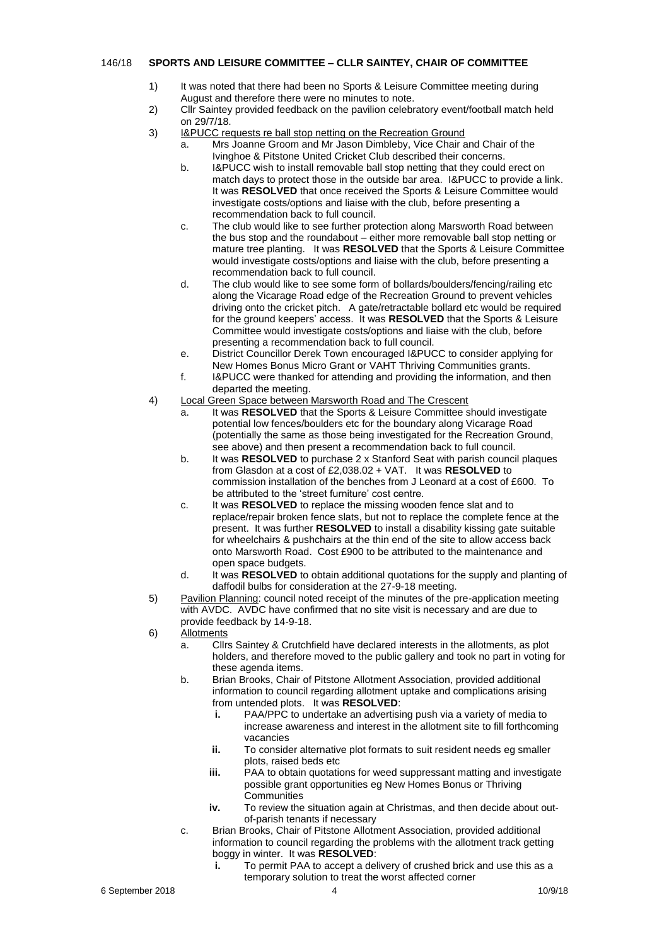### 146/18 **SPORTS AND LEISURE COMMITTEE – CLLR SAINTEY, CHAIR OF COMMITTEE**

- 1) It was noted that there had been no Sports & Leisure Committee meeting during August and therefore there were no minutes to note.
- 2) Cllr Saintey provided feedback on the pavilion celebratory event/football match held on 29/7/18.
- 3) I&PUCC requests re ball stop netting on the Recreation Ground
	- a. Mrs Joanne Groom and Mr Jason Dimbleby, Vice Chair and Chair of the Ivinghoe & Pitstone United Cricket Club described their concerns.
	- b. I&PUCC wish to install removable ball stop netting that they could erect on match days to protect those in the outside bar area. I&PUCC to provide a link. It was **RESOLVED** that once received the Sports & Leisure Committee would investigate costs/options and liaise with the club, before presenting a recommendation back to full council.
	- c. The club would like to see further protection along Marsworth Road between the bus stop and the roundabout – either more removable ball stop netting or mature tree planting. It was **RESOLVED** that the Sports & Leisure Committee would investigate costs/options and liaise with the club, before presenting a recommendation back to full council.
	- d. The club would like to see some form of bollards/boulders/fencing/railing etc along the Vicarage Road edge of the Recreation Ground to prevent vehicles driving onto the cricket pitch. A gate/retractable bollard etc would be required for the ground keepers' access. It was **RESOLVED** that the Sports & Leisure Committee would investigate costs/options and liaise with the club, before presenting a recommendation back to full council.
	- e. District Councillor Derek Town encouraged I&PUCC to consider applying for New Homes Bonus Micro Grant or VAHT Thriving Communities grants.
	- f. I&PUCC were thanked for attending and providing the information, and then departed the meeting.
- 4) Local Green Space between Marsworth Road and The Crescent
	- a. It was **RESOLVED** that the Sports & Leisure Committee should investigate potential low fences/boulders etc for the boundary along Vicarage Road (potentially the same as those being investigated for the Recreation Ground, see above) and then present a recommendation back to full council.
	- b. It was **RESOLVED** to purchase 2 x Stanford Seat with parish council plaques from Glasdon at a cost of £2,038.02 + VAT. It was **RESOLVED** to commission installation of the benches from J Leonard at a cost of £600. To be attributed to the 'street furniture' cost centre.
	- c. It was **RESOLVED** to replace the missing wooden fence slat and to replace/repair broken fence slats, but not to replace the complete fence at the present. It was further **RESOLVED** to install a disability kissing gate suitable for wheelchairs & pushchairs at the thin end of the site to allow access back onto Marsworth Road. Cost £900 to be attributed to the maintenance and open space budgets.
	- d. It was **RESOLVED** to obtain additional quotations for the supply and planting of daffodil bulbs for consideration at the 27-9-18 meeting.
- 5) Pavilion Planning: council noted receipt of the minutes of the pre-application meeting with AVDC. AVDC have confirmed that no site visit is necessary and are due to provide feedback by 14-9-18.

6) Allotments

- a. Cllrs Saintey & Crutchfield have declared interests in the allotments, as plot holders, and therefore moved to the public gallery and took no part in voting for these agenda items.
- b. Brian Brooks, Chair of Pitstone Allotment Association, provided additional information to council regarding allotment uptake and complications arising from untended plots. It was **RESOLVED**:
	- **i.** PAA/PPC to undertake an advertising push via a variety of media to increase awareness and interest in the allotment site to fill forthcoming vacancies
	- **ii.** To consider alternative plot formats to suit resident needs eg smaller plots, raised beds etc
	- **iii.** PAA to obtain quotations for weed suppressant matting and investigate possible grant opportunities eg New Homes Bonus or Thriving **Communities**
	- **iv.** To review the situation again at Christmas, and then decide about outof-parish tenants if necessary
- c. Brian Brooks, Chair of Pitstone Allotment Association, provided additional information to council regarding the problems with the allotment track getting boggy in winter. It was **RESOLVED**:
	- **i.** To permit PAA to accept a delivery of crushed brick and use this as a temporary solution to treat the worst affected corner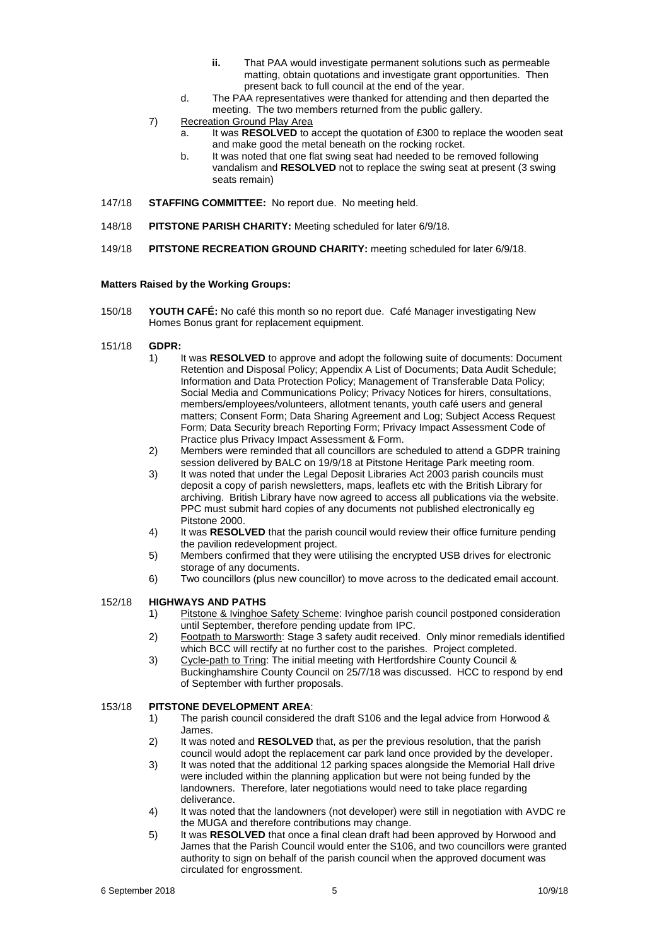- **ii.** That PAA would investigate permanent solutions such as permeable matting, obtain quotations and investigate grant opportunities. Then present back to full council at the end of the year.
- d. The PAA representatives were thanked for attending and then departed the meeting. The two members returned from the public gallery.
- 7) Recreation Ground Play Area
	- a. It was **RESOLVED** to accept the quotation of £300 to replace the wooden seat and make good the metal beneath on the rocking rocket.
		- b. It was noted that one flat swing seat had needed to be removed following vandalism and **RESOLVED** not to replace the swing seat at present (3 swing seats remain)
- 147/18 **STAFFING COMMITTEE:** No report due. No meeting held.
- 148/18 **PITSTONE PARISH CHARITY:** Meeting scheduled for later 6/9/18.
- 149/18 **PITSTONE RECREATION GROUND CHARITY:** meeting scheduled for later 6/9/18.

### **Matters Raised by the Working Groups:**

150/18 **YOUTH CAFÉ:** No café this month so no report due. Café Manager investigating New Homes Bonus grant for replacement equipment.

### 151/18 **GDPR:**

- 1) It was **RESOLVED** to approve and adopt the following suite of documents: Document Retention and Disposal Policy; Appendix A List of Documents; Data Audit Schedule; Information and Data Protection Policy; Management of Transferable Data Policy; Social Media and Communications Policy; Privacy Notices for hirers, consultations, members/employees/volunteers, allotment tenants, youth café users and general matters; Consent Form; Data Sharing Agreement and Log; Subject Access Request Form; Data Security breach Reporting Form; Privacy Impact Assessment Code of Practice plus Privacy Impact Assessment & Form.
- 2) Members were reminded that all councillors are scheduled to attend a GDPR training session delivered by BALC on 19/9/18 at Pitstone Heritage Park meeting room.
- 3) It was noted that under the Legal Deposit Libraries Act 2003 parish councils must deposit a copy of parish newsletters, maps, leaflets etc with the British Library for archiving. British Library have now agreed to access all publications via the website. PPC must submit hard copies of any documents not published electronically eg Pitstone 2000.
- 4) It was **RESOLVED** that the parish council would review their office furniture pending the pavilion redevelopment project.
- 5) Members confirmed that they were utilising the encrypted USB drives for electronic storage of any documents.
- 6) Two councillors (plus new councillor) to move across to the dedicated email account.

## 152/18 **HIGHWAYS AND PATHS**

- 1) Pitstone & Ivinghoe Safety Scheme: Ivinghoe parish council postponed consideration until September, therefore pending update from IPC.
- 2) Footpath to Marsworth: Stage 3 safety audit received. Only minor remedials identified which BCC will rectify at no further cost to the parishes. Project completed.
- 3) Cycle-path to Tring: The initial meeting with Hertfordshire County Council & Buckinghamshire County Council on 25/7/18 was discussed. HCC to respond by end of September with further proposals.

## 153/18 **PITSTONE DEVELOPMENT AREA**:

- 1) The parish council considered the draft S106 and the legal advice from Horwood & James.
- 2) It was noted and **RESOLVED** that, as per the previous resolution, that the parish council would adopt the replacement car park land once provided by the developer.
- 3) It was noted that the additional 12 parking spaces alongside the Memorial Hall drive were included within the planning application but were not being funded by the landowners. Therefore, later negotiations would need to take place regarding deliverance.
- 4) It was noted that the landowners (not developer) were still in negotiation with AVDC re the MUGA and therefore contributions may change.
- 5) It was **RESOLVED** that once a final clean draft had been approved by Horwood and James that the Parish Council would enter the S106, and two councillors were granted authority to sign on behalf of the parish council when the approved document was circulated for engrossment.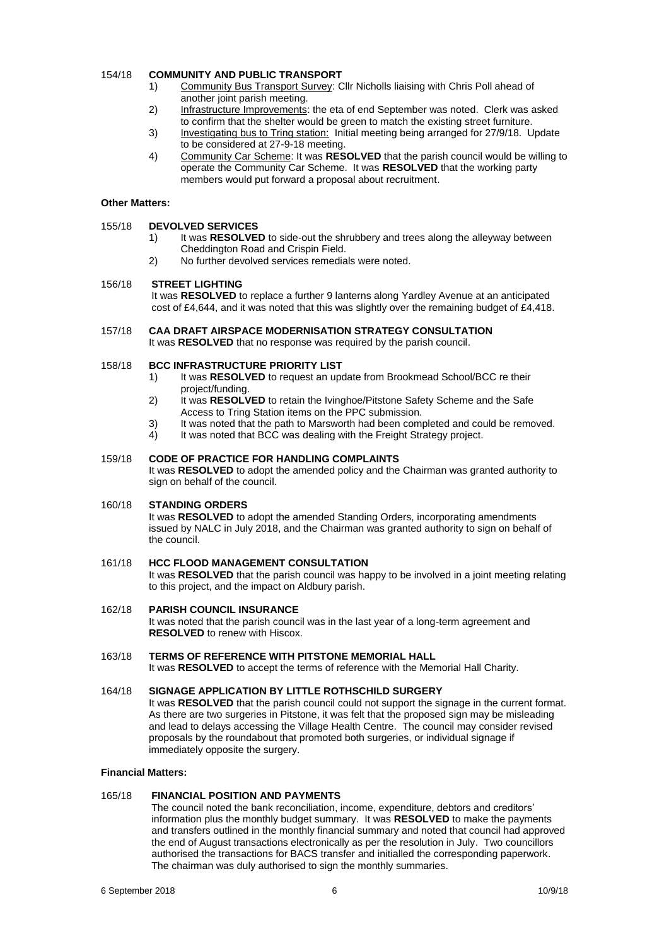## 154/18 **COMMUNITY AND PUBLIC TRANSPORT**

- 1) Community Bus Transport Survey: Cllr Nicholls liaising with Chris Poll ahead of another joint parish meeting.
- 2) Infrastructure Improvements: the eta of end September was noted. Clerk was asked to confirm that the shelter would be green to match the existing street furniture.
- 3) Investigating bus to Tring station: Initial meeting being arranged for 27/9/18. Update to be considered at 27-9-18 meeting.
- 4) Community Car Scheme: It was **RESOLVED** that the parish council would be willing to operate the Community Car Scheme. It was **RESOLVED** that the working party members would put forward a proposal about recruitment.

#### **Other Matters:**

#### 155/18 **DEVOLVED SERVICES**

- 1) It was **RESOLVED** to side-out the shrubbery and trees along the alleyway between Cheddington Road and Crispin Field.
- 2) No further devolved services remedials were noted.

#### 156/18 **STREET LIGHTING**

It was **RESOLVED** to replace a further 9 lanterns along Yardley Avenue at an anticipated cost of £4,644, and it was noted that this was slightly over the remaining budget of £4,418.

# 157/18 **CAA DRAFT AIRSPACE MODERNISATION STRATEGY CONSULTATION**

It was **RESOLVED** that no response was required by the parish council.

#### 158/18 **BCC INFRASTRUCTURE PRIORITY LIST**

- 1) It was **RESOLVED** to request an update from Brookmead School/BCC re their project/funding.
- 2) It was **RESOLVED** to retain the Ivinghoe/Pitstone Safety Scheme and the Safe Access to Tring Station items on the PPC submission.
- 3) It was noted that the path to Marsworth had been completed and could be removed.
- 4) It was noted that BCC was dealing with the Freight Strategy project.

#### 159/18 **CODE OF PRACTICE FOR HANDLING COMPLAINTS**

It was **RESOLVED** to adopt the amended policy and the Chairman was granted authority to sign on behalf of the council.

#### 160/18 **STANDING ORDERS**

It was **RESOLVED** to adopt the amended Standing Orders, incorporating amendments issued by NALC in July 2018, and the Chairman was granted authority to sign on behalf of the council.

#### 161/18 **HCC FLOOD MANAGEMENT CONSULTATION**

It was **RESOLVED** that the parish council was happy to be involved in a joint meeting relating to this project, and the impact on Aldbury parish.

### 162/18 **PARISH COUNCIL INSURANCE** It was noted that the parish council was in the last year of a long-term agreement and **RESOLVED** to renew with Hiscox.

#### 163/18 **TERMS OF REFERENCE WITH PITSTONE MEMORIAL HALL** It was **RESOLVED** to accept the terms of reference with the Memorial Hall Charity.

#### 164/18 **SIGNAGE APPLICATION BY LITTLE ROTHSCHILD SURGERY** It was **RESOLVED** that the parish council could not support the signage in the current format. As there are two surgeries in Pitstone, it was felt that the proposed sign may be misleading and lead to delays accessing the Village Health Centre. The council may consider revised proposals by the roundabout that promoted both surgeries, or individual signage if immediately opposite the surgery.

#### **Financial Matters:**

## 165/18 **FINANCIAL POSITION AND PAYMENTS**

The council noted the bank reconciliation, income, expenditure, debtors and creditors' information plus the monthly budget summary. It was **RESOLVED** to make the payments and transfers outlined in the monthly financial summary and noted that council had approved the end of August transactions electronically as per the resolution in July. Two councillors authorised the transactions for BACS transfer and initialled the corresponding paperwork. The chairman was duly authorised to sign the monthly summaries.